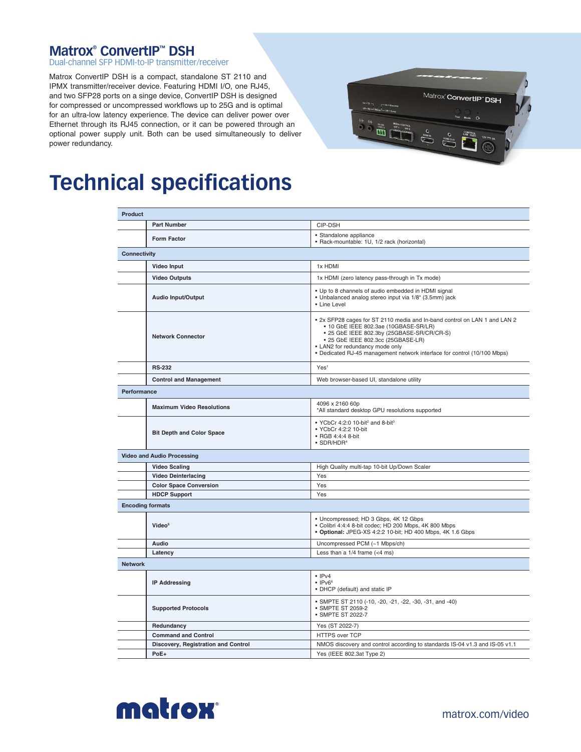## **Matrox® ConvertIP™ DSH**

Dual-channel SFP HDMI-to-IP transmitter/receiver

Matrox ConvertIP DSH is a compact, standalone ST 2110 and IPMX transmitter/receiver device. Featuring HDMI I/O, one RJ45, and two SFP28 ports on a singe device, ConvertIP DSH is designed for compressed or uncompressed workflows up to 25G and is optimal for an ultra-low latency experience. The device can deliver power over Ethernet through its RJ45 connection, or it can be powered through an optional power supply unit. Both can be used simultaneously to deliver power redundancy.



## **Technical specifications**

| <b>Product</b>                      |                                                                                                                                                                                                                                                                                                                       |
|-------------------------------------|-----------------------------------------------------------------------------------------------------------------------------------------------------------------------------------------------------------------------------------------------------------------------------------------------------------------------|
| <b>Part Number</b>                  | CIP-DSH                                                                                                                                                                                                                                                                                                               |
| <b>Form Factor</b>                  | • Standalone appliance<br>• Rack-mountable: 1U, 1/2 rack (horizontal)                                                                                                                                                                                                                                                 |
| <b>Connectivity</b>                 |                                                                                                                                                                                                                                                                                                                       |
| <b>Video Input</b>                  | 1x HDMI                                                                                                                                                                                                                                                                                                               |
| <b>Video Outputs</b>                | 1x HDMI (zero latency pass-through in Tx mode)                                                                                                                                                                                                                                                                        |
| <b>Audio Input/Output</b>           | • Up to 8 channels of audio embedded in HDMI signal<br>· Unbalanced analog stereo input via 1/8" (3.5mm) jack<br>• Line Level                                                                                                                                                                                         |
| <b>Network Connector</b>            | . 2x SFP28 cages for ST 2110 media and In-band control on LAN 1 and LAN 2<br>• 10 GbE IEEE 802.3ae (10GBASE-SR/LR)<br>• 25 GbE IEEE 802.3by (25GBASE-SR/CR/CR-S)<br>• 25 GbE IEEE 802.3cc (25GBASE-LR)<br>• LAN2 for redundancy mode only<br>• Dedicated RJ-45 management network interface for control (10/100 Mbps) |
| <b>RS-232</b>                       | Yes <sup>1</sup>                                                                                                                                                                                                                                                                                                      |
| <b>Control and Management</b>       | Web browser-based UI, standalone utility                                                                                                                                                                                                                                                                              |
| Performance                         |                                                                                                                                                                                                                                                                                                                       |
| <b>Maximum Video Resolutions</b>    | 4096 x 2160 60p<br>*All standard desktop GPU resolutions supported                                                                                                                                                                                                                                                    |
| <b>Bit Depth and Color Space</b>    | • YCbCr 4:2:0 10-bit <sup>2</sup> and 8-bit <sup>3</sup><br>• YCbCr 4:2:2 10-bit<br>• RGB 4:4:4 8-bit<br>$\bullet$ SDR/HDR <sup>4</sup>                                                                                                                                                                               |
| <b>Video and Audio Processing</b>   |                                                                                                                                                                                                                                                                                                                       |
| <b>Video Scaling</b>                | High Quality multi-tap 10-bit Up/Down Scaler                                                                                                                                                                                                                                                                          |
| <b>Video Deinterlacing</b>          | Yes                                                                                                                                                                                                                                                                                                                   |
| <b>Color Space Conversion</b>       | Yes                                                                                                                                                                                                                                                                                                                   |
| <b>HDCP Support</b>                 | Yes                                                                                                                                                                                                                                                                                                                   |
| <b>Encoding formats</b>             |                                                                                                                                                                                                                                                                                                                       |
| Video <sup>5</sup>                  | • Uncompressed; HD 3 Gbps, 4K 12 Gbps<br>· Colibri 4:4:4 8-bit codec; HD 200 Mbps, 4K 800 Mbps<br>· Optional: JPEG-XS 4:2:2 10-bit; HD 400 Mbps, 4K 1.6 Gbps                                                                                                                                                          |
| Audio                               | Uncompressed PCM (~1 Mbps/ch)                                                                                                                                                                                                                                                                                         |
| Latency                             | Less than a $1/4$ frame (<4 ms)                                                                                                                                                                                                                                                                                       |
| <b>Network</b>                      |                                                                                                                                                                                                                                                                                                                       |
| <b>IP Addressing</b>                | $\cdot$ IPv4<br>$\cdot$ IPv <sub>66</sub><br>• DHCP (default) and static IP                                                                                                                                                                                                                                           |
| <b>Supported Protocols</b>          | • SMPTE ST 2110 (-10, -20, -21, -22, -30, -31, and -40)<br>• SMPTE ST 2059-2<br>• SMPTE ST 2022-7                                                                                                                                                                                                                     |
| Redundancy                          | Yes (ST 2022-7)                                                                                                                                                                                                                                                                                                       |
| <b>Command and Control</b>          | HTTPS over TCP                                                                                                                                                                                                                                                                                                        |
| Discovery, Registration and Control | NMOS discovery and control according to standards IS-04 v1.3 and IS-05 v1.1                                                                                                                                                                                                                                           |
| PoE+                                | Yes (IEEE 802.3at Type 2)                                                                                                                                                                                                                                                                                             |